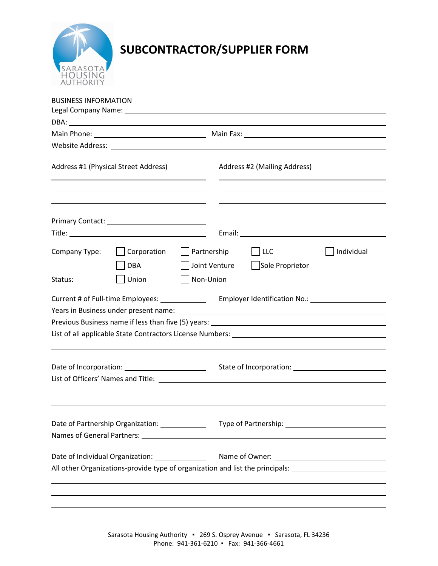

## **SUBCONTRACTOR/SUPPLIER FORM**

| <b>BUSINESS INFORMATION</b>                                            |                                                 |             |                              |                        |                                                                                                                |  |
|------------------------------------------------------------------------|-------------------------------------------------|-------------|------------------------------|------------------------|----------------------------------------------------------------------------------------------------------------|--|
|                                                                        |                                                 |             |                              |                        |                                                                                                                |  |
|                                                                        |                                                 |             |                              |                        |                                                                                                                |  |
|                                                                        |                                                 |             |                              |                        |                                                                                                                |  |
| Address #1 (Physical Street Address)                                   |                                                 |             | Address #2 (Mailing Address) |                        |                                                                                                                |  |
|                                                                        |                                                 |             |                              |                        |                                                                                                                |  |
|                                                                        |                                                 |             |                              |                        |                                                                                                                |  |
| Company Type:                                                          | Corporation<br><b>DBA</b>                       | Partnership | Joint Venture                | LLC<br>Sole Proprietor | Individual                                                                                                     |  |
| Status:                                                                | Union                                           | Non-Union   |                              |                        |                                                                                                                |  |
|                                                                        | Current # of Full-time Employees: _____________ |             |                              |                        |                                                                                                                |  |
|                                                                        |                                                 |             |                              |                        |                                                                                                                |  |
|                                                                        |                                                 |             |                              |                        |                                                                                                                |  |
| Date of Individual Organization: [16] Date of Individual Organization: |                                                 |             |                              |                        |                                                                                                                |  |
|                                                                        |                                                 |             |                              |                        | All other Organizations-provide type of organization and list the principals: ________________________________ |  |
|                                                                        |                                                 |             |                              |                        |                                                                                                                |  |